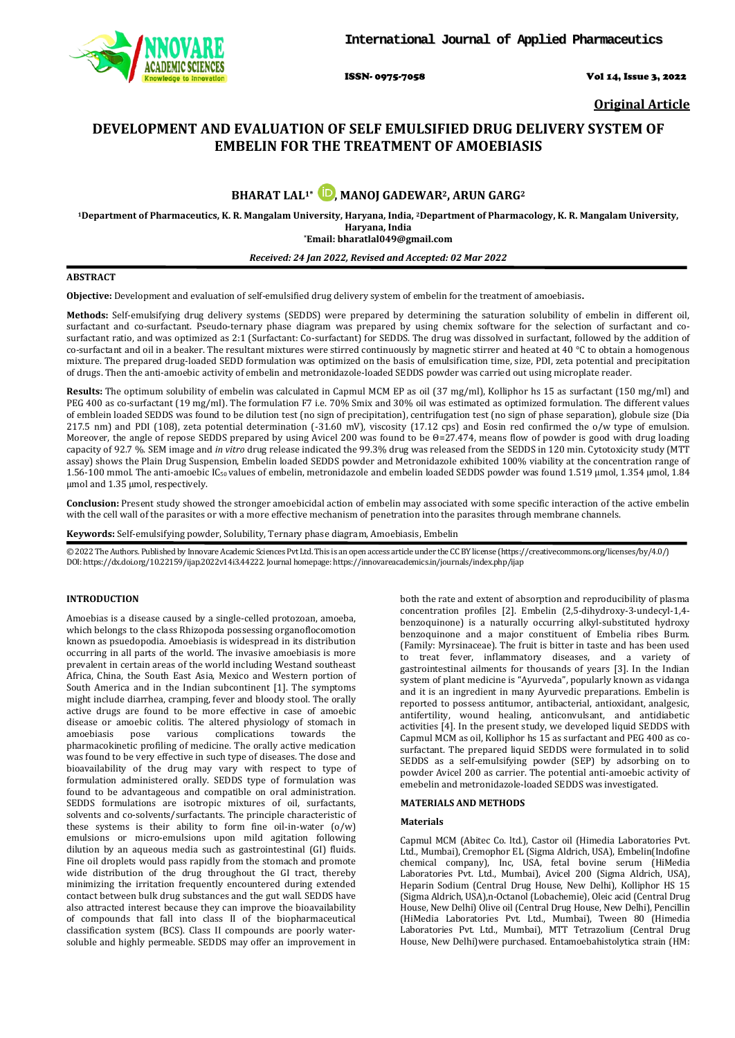

ISSN- 0975-7058 Vol 14, Issue 3, 2022

**Original Article**

# **DEVELOPMENT AND EVALUATION OF SELF EMULSIFIED DRUG DELIVERY SYSTEM OF EMBELIN FOR THE TREATMENT OF AMOEBIASIS**

**BHARAT LAL<sup>1\*</sup> <b>D**[,](https://orcid.org/0000-0001-8911-4247) MANOJ GADEWAR<sup>2</sup>, ARUN GARG<sup>2</sup>

**1Department of Pharmaceutics, K. R. Mangalam University, Haryana, India, 2Department of Pharmacology, K. R. Mangalam University, Haryana, India \*Email[: bharatlal049@gmail.com](mailto:bharatlal049@gmail.com)**

*Received: 24 Jan 2022, Revised and Accepted: 02 Mar 2022*

## **ABSTRACT**

**Objective:** Development and evaluation of self-emulsified drug delivery system of embelin for the treatment of amoebiasis**.**

**Methods:** Self-emulsifying drug delivery systems (SEDDS) were prepared by determining the saturation solubility of embelin in different oil, surfactant and co-surfactant. Pseudo-ternary phase diagram was prepared by using chemix software for the selection of surfactant and cosurfactant ratio, and was optimized as 2:1 (Surfactant: Co-surfactant) for SEDDS. The drug was dissolved in surfactant, followed by the addition of co-surfactant and oil in a beaker. The resultant mixtures were stirred continuously by magnetic stirrer and heated at 40  $\degree$ C to obtain a homogenous mixture. The prepared drug-loaded SEDD formulation was optimized on the basis of emulsification time, size, PDI, zeta potential and precipitation of drugs. Then the anti-amoebic activity of embelin and metronidazole-loaded SEDDS powder was carried out using microplate reader.

**Results:** The optimum solubility of embelin was calculated in Capmul MCM EP as oil (37 mg/ml), Kolliphor hs 15 as surfactant (150 mg/ml) and PEG 400 as co-surfactant (19 mg/ml). The formulation F7 i.e. 70% Smix and 30% oil was estimated as optimized formulation. The different values of emblein loaded SEDDS was found to be dilution test (no sign of precipitation), centrifugation test (no sign of phase separation), globule size (Dia 217.5 nm) and PDI (108), zeta potential determination (-31.60 mV), viscosity (17.12 cps) and Eosin red confirmed the o/w type of emulsion. Moreover, the angle of repose SEDDS prepared by using Avicel 200 was found to be Θ=27.474, means flow of powder is good with drug loading capacity of 92.7 %. SEM image and *in vitro* drug release indicated the 99.3% drug was released from the SEDDS in 120 min. Cytotoxicity study (MTT assay) shows the Plain Drug Suspension, Embelin loaded SEDDS powder and Metronidazole exhibited 100% viability at the concentration range of 1.56-100 mmol. The anti-amoebic IC50 values of embelin, metronidazole and embelin loaded SEDDS powder was found 1.519 µmol, 1.354 µmol, 1.84 µmol and 1.35 µmol, respectively.

**Conclusion:** Present study showed the stronger amoebicidal action of embelin may associated with some specific interaction of the active embelin with the cell wall of the parasites or with a more effective mechanism of penetration into the parasites through membrane channels.

**Keywords:** Self-emulsifying powder, Solubility, Ternary phase diagram, Amoebiasis, Embelin

© 2022 The Authors. Published by Innovare Academic Sciences Pvt Ltd. This is an open access article under the CC BY license [\(https://creativecommons.org/licenses/by/4.0/\)](https://creativecommons.org/licenses/by/4.0/) DOI: https://dx.doi.org/10.22159/ijap.2022v14i3.44222. Journal homepage[: https://innovareacademics.in/journals/index.php/ijap](https://innovareacademics.in/journals/index.php/ijap)

## **INTRODUCTION**

Amoebias is a disease caused by a single-celled protozoan, amoeba, which belongs to the class Rhizopoda possessing organoflocomotion known as psuedopodia. Amoebiasis is widespread in its distribution occurring in all parts of the world. The invasive amoebiasis is more prevalent in certain areas of the world including Westand southeast Africa, China, the South East Asia, Mexico and Western portion of South America and in the Indian subcontinent [1]. The symptoms might include diarrhea, cramping, fever and bloody stool. The orally active drugs are found to be more effective in case of amoebic disease or amoebic colitis. The altered physiology of stomach in amoebiasis pose various complications towards the complications pharmacokinetic profiling of medicine. The orally active medication was found to be very effective in such type of diseases. The dose and bioavailability of the drug may vary with respect to type of formulation administered orally. SEDDS type of formulation was found to be advantageous and compatible on oral administration. SEDDS formulations are isotropic mixtures of oil, surfactants, solvents and co-solvents/surfactants. The principle characteristic of these systems is their ability to form fine oil-in-water  $(o/w)$ emulsions or micro-emulsions upon mild agitation following dilution by an aqueous media such as gastrointestinal (GI) fluids. Fine oil droplets would pass rapidly from the stomach and promote wide distribution of the drug throughout the GI tract, thereby minimizing the irritation frequently encountered during extended contact between bulk drug substances and the gut wall. SEDDS have also attracted interest because they can improve the bioavailability of compounds that fall into class II of the biopharmaceutical classification system (BCS). Class II compounds are poorly watersoluble and highly permeable. SEDDS may offer an improvement in both the rate and extent of absorption and reproducibility of plasma concentration profiles [2]. Embelin (2,5-dihydroxy-3-undecyl-1,4 benzoquinone) is a naturally occurring alkyl-substituted hydroxy benzoquinone and a major constituent of Embelia ribes Burm. (Family: Myrsinaceae). The fruit is bitter in taste and has been used to treat fever, inflammatory diseases, and a variety of gastrointestinal ailments for thousands of years [3]. In the Indian system of plant medicine is "Ayurveda", popularly known as vidanga and it is an ingredient in many Ayurvedic preparations. Embelin is reported to possess antitumor, antibacterial, antioxidant, analgesic, antifertility, wound healing, anticonvulsant, and antidiabetic activities [4]. In the present study, we developed liquid SEDDS with Capmul MCM as oil, Kolliphor hs 15 as surfactant and PEG 400 as cosurfactant. The prepared liquid SEDDS were formulated in to solid SEDDS as a self-emulsifying powder (SEP) by adsorbing on to powder Avicel 200 as carrier. The potential anti-amoebic activity of emebelin and metronidazole-loaded SEDDS was investigated.

### **MATERIALS AND METHODS**

### **Materials**

Capmul MCM (Abitec Co. ltd.), Castor oil (Himedia Laboratories Pvt. Ltd., Mumbai), Cremophor EL (Sigma Aldrich, USA), Embelin(Indofine chemical company), Inc, USA, fetal bovine serum (HiMedia Laboratories Pvt. Ltd., Mumbai), Avicel 200 (Sigma Aldrich, USA), Heparin Sodium (Central Drug House, New Delhi), Kolliphor HS 15 (Sigma Aldrich, USA),n-Octanol (Lobachemie), Oleic acid (Central Drug House, New Delhi) Olive oil (Central Drug House, New Delhi), Pencillin (HiMedia Laboratories Pvt. Ltd., Mumbai), Tween 80 (Himedia Laboratories Pvt. Ltd., Mumbai), MTT Tetrazolium (Central Drug House, New Delhi)were purchased. Entamoebahistolytica strain (HM: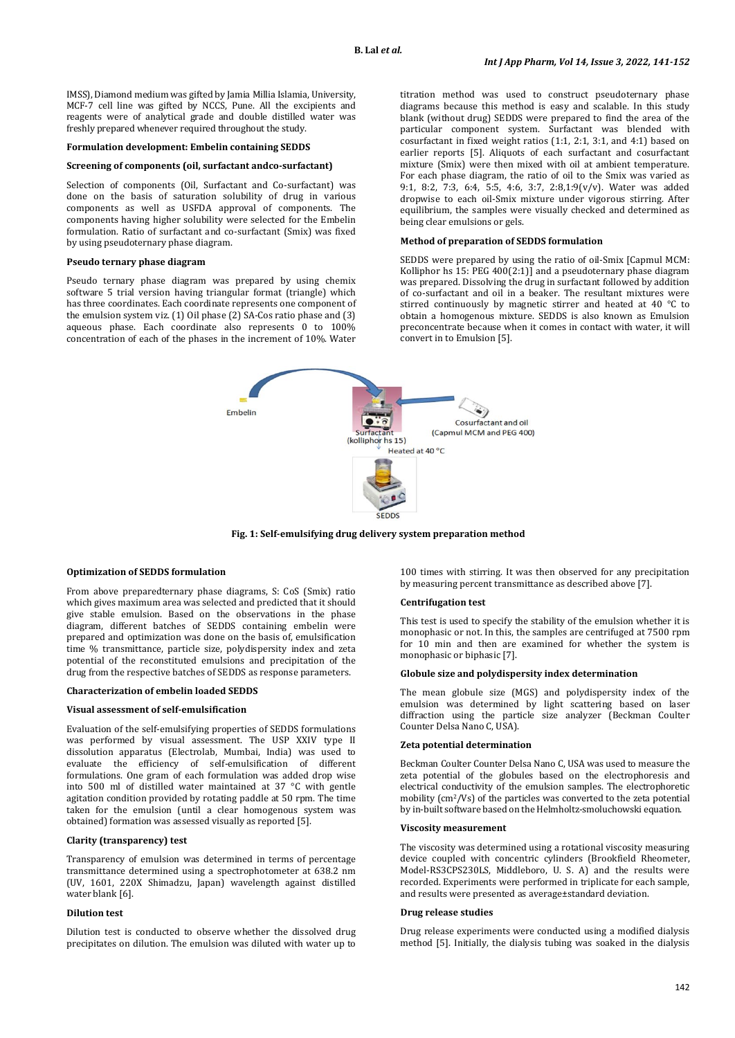IMSS), Diamond medium was gifted by Jamia Millia Islamia, University, MCF-7 cell line was gifted by NCCS, Pune. All the excipients and reagents were of analytical grade and double distilled water was freshly prepared whenever required throughout the study.

#### **Formulation development: Embelin containing SEDDS**

#### **Screening of components (oil, surfactant andco-surfactant)**

Selection of components (Oil, Surfactant and Co-surfactant) was done on the basis of saturation solubility of drug in various components as well as USFDA approval of components. The components having higher solubility were selected for the Embelin formulation. Ratio of surfactant and co-surfactant (Smix) was fixed by using pseudoternary phase diagram.

#### **Pseudo ternary phase diagram**

Pseudo ternary phase diagram was prepared by using chemix software 5 trial version having triangular format (triangle) which has three coordinates. Each coordinate represents one component of the emulsion system viz. (1) Oil phase (2) SA-Cos ratio phase and (3) aqueous phase. Each coordinate also represents 0 to 100% concentration of each of the phases in the increment of 10%. Water titration method was used to construct pseudoternary phase diagrams because this method is easy and scalable. In this study blank (without drug) SEDDS were prepared to find the area of the particular component system. Surfactant was blended with cosurfactant in fixed weight ratios (1:1, 2:1, 3:1, and 4:1) based on earlier reports [5]. Aliquots of each surfactant and cosurfactant mixture (Smix) were then mixed with oil at ambient temperature. For each phase diagram, the ratio of oil to the Smix was varied as 9:1, 8:2, 7:3, 6:4, 5:5, 4:6, 3:7, 2:8,1:9(v/v). Water was added dropwise to each oil-Smix mixture under vigorous stirring. After equilibrium, the samples were visually checked and determined as being clear emulsions or gels.

## **Method of preparation of SEDDS formulation**

SEDDS were prepared by using the ratio of oil-Smix [Capmul MCM: Kolliphor hs 15: PEG 400(2:1)] and a pseudoternary phase diagram was prepared. Dissolving the drug in surfactant followed by addition of co-surfactant and oil in a beaker. The resultant mixtures were stirred continuously by magnetic stirrer and heated at 40 °C to obtain a homogenous mixture. SEDDS is also known as Emulsion preconcentrate because when it comes in contact with water, it will convert in to Emulsion [5].



**Fig. 1: Self-emulsifying drug delivery system preparation method**

#### **Optimization of SEDDS formulation**

From above preparedternary phase diagrams, S: CoS (Smix) ratio which gives maximum area was selected and predicted that it should give stable emulsion. Based on the observations in the phase diagram, different batches of SEDDS containing embelin were prepared and optimization was done on the basis of, emulsification time % transmittance, particle size, polydispersity index and zeta potential of the reconstituted emulsions and precipitation of the drug from the respective batches of SEDDS as response parameters.

#### **Characterization of embelin loaded SEDDS**

### **Visual assessment of self-emulsification**

Evaluation of the self-emulsifying properties of SEDDS formulations was performed by visual assessment. The USP XXIV type II dissolution apparatus (Electrolab, Mumbai, India) was used to evaluate the efficiency of self-emulsification of different formulations. One gram of each formulation was added drop wise into 500 ml of distilled water maintained at 37 °C with gentle agitation condition provided by rotating paddle at 50 rpm. The time taken for the emulsion (until a clear homogenous system was obtained) formation was assessed visually as reported [5].

### **Clarity (transparency) test**

Transparency of emulsion was determined in terms of percentage transmittance determined using a spectrophotometer at 638.2 nm (UV, 1601, 220X Shimadzu, Japan) wavelength against distilled water blank [6].

#### **Dilution test**

Dilution test is conducted to observe whether the dissolved drug precipitates on dilution. The emulsion was diluted with water up to

100 times with stirring. It was then observed for any precipitation by measuring percent transmittance as described above [7].

#### **Centrifugation test**

This test is used to specify the stability of the emulsion whether it is monophasic or not. In this, the samples are centrifuged at 7500 rpm for 10 min and then are examined for whether the system is monophasic or biphasic [7].

#### **Globule size and polydispersity index determination**

The mean globule size (MGS) and polydispersity index of the emulsion was determined by light scattering based on laser diffraction using the particle size analyzer (Beckman Coulter Counter Delsa Nano C, USA).

#### **Zeta potential determination**

Beckman Coulter Counter Delsa Nano C, USA was used to measure the zeta potential of the globules based on the electrophoresis and electrical conductivity of the emulsion samples. The electrophoretic mobility (cm2/Vs) of the particles was converted to the zeta potential by in-built software based on the Helmholtz-smoluchowski equation.

#### **Viscosity measurement**

The viscosity was determined using a rotational viscosity measuring device coupled with concentric cylinders (Brookfield Rheometer, Model-RS3CPS230LS, Middleboro, U. S. A) and the results were recorded. Experiments were performed in triplicate for each sample, and results were presented as average±standard deviation.

#### **Drug release studies**

Drug release experiments were conducted using a modified dialysis method [5]. Initially, the dialysis tubing was soaked in the dialysis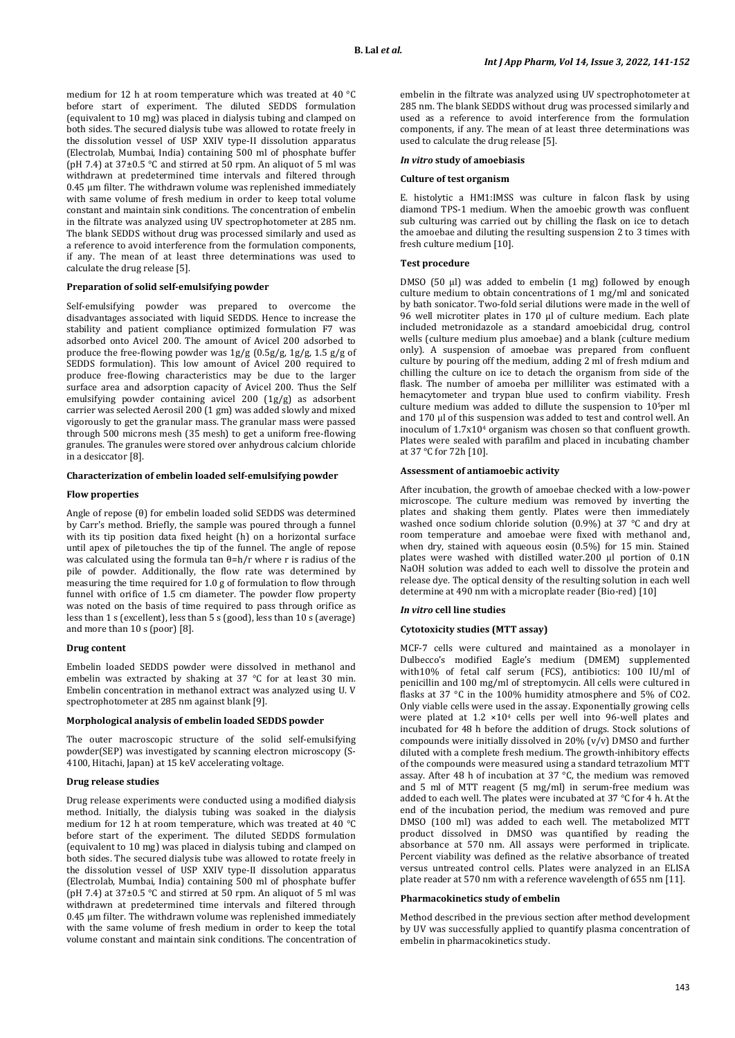medium for 12 h at room temperature which was treated at 40 °C before start of experiment. The diluted SEDDS formulation (equivalent to 10 mg) was placed in dialysis tubing and clamped on both sides. The secured dialysis tube was allowed to rotate freely in the dissolution vessel of USP XXIV type-II dissolution apparatus (Electrolab, Mumbai, India) containing 500 ml of phosphate buffer (pH 7.4) at  $37\pm0.5$  °C and stirred at 50 rpm. An aliquot of 5 ml was withdrawn at predetermined time intervals and filtered through 0.45 μm filter. The withdrawn volume was replenished immediately with same volume of fresh medium in order to keep total volume constant and maintain sink conditions. The concentration of embelin in the filtrate was analyzed using UV spectrophotometer at 285 nm. The blank SEDDS without drug was processed similarly and used as a reference to avoid interference from the formulation components, if any. The mean of at least three determinations was used to calculate the drug release [5].

### **Preparation of solid self-emulsifying powder**

Self-emulsifying powder was prepared to overcome the disadvantages associated with liquid SEDDS. Hence to increase the stability and patient compliance optimized formulation F7 was adsorbed onto Avicel 200. The amount of Avicel 200 adsorbed to produce the free-flowing powder was  $\frac{1g}{g} (0.5g/g, \frac{1g}{g}, \frac{1.5g}{g} )$  of SEDDS formulation). This low amount of Avicel 200 required to produce free-flowing characteristics may be due to the larger surface area and adsorption capacity of Avicel 200. Thus the Self emulsifying powder containing avicel 200 (1g/g) as adsorbent carrier was selected Aerosil 200 (1 gm) was added slowly and mixed vigorously to get the granular mass. The granular mass were passed through 500 microns mesh (35 mesh) to get a uniform free-flowing granules. The granules were stored over anhydrous calcium chloride in a desiccator [8].

## **Characterization of embelin loaded self-emulsifying powder**

### **Flow properties**

Angle of repose (θ) for embelin loaded solid SEDDS was determined by Carr's method. Briefly, the sample was poured through a funnel with its tip position data fixed height (h) on a horizontal surface until apex of piletouches the tip of the funnel. The angle of repose was calculated using the formula tan θ=h/r where r is radius of the pile of powder. Additionally, the flow rate was determined by measuring the time required for 1.0 g of formulation to flow through funnel with orifice of 1.5 cm diameter. The powder flow property was noted on the basis of time required to pass through orifice as less than 1 s (excellent), less than 5 s (good), less than 10 s (average) and more than 10 s (poor) [8].

#### **Drug content**

Embelin loaded SEDDS powder were dissolved in methanol and embelin was extracted by shaking at 37 °C for at least 30 min. Embelin concentration in methanol extract was analyzed using U. V spectrophotometer at 285 nm against blank [9].

### **Morphological analysis of embelin loaded SEDDS powder**

The outer macroscopic structure of the solid self-emulsifying powder(SEP) was investigated by scanning electron microscopy (S-4100, Hitachi, Japan) at 15 keV accelerating voltage.

### **Drug release studies**

Drug release experiments were conducted using a modified dialysis method. Initially, the dialysis tubing was soaked in the dialysis medium for 12 h at room temperature, which was treated at 40 °C before start of the experiment. The diluted SEDDS formulation (equivalent to 10 mg) was placed in dialysis tubing and clamped on both sides. The secured dialysis tube was allowed to rotate freely in the dissolution vessel of USP XXIV type-II dissolution apparatus (Electrolab, Mumbai, India) containing 500 ml of phosphate buffer (pH 7.4) at  $37\pm0.5$  °C and stirred at 50 rpm. An aliquot of 5 ml was withdrawn at predetermined time intervals and filtered through 0.45 μm filter. The withdrawn volume was replenished immediately with the same volume of fresh medium in order to keep the total volume constant and maintain sink conditions. The concentration of

embelin in the filtrate was analyzed using UV spectrophotometer at 285 nm. The blank SEDDS without drug was processed similarly and used as a reference to avoid interference from the formulation components, if any. The mean of at least three determinations was used to calculate the drug release [5].

#### *In vitro* **study of amoebiasis**

#### **Culture of test organism**

E. histolytic a HM1:IMSS was culture in falcon flask by using diamond TPS-1 medium. When the amoebic growth was confluent sub culturing was carried out by chilling the flask on ice to detach the amoebae and diluting the resulting suspension 2 to 3 times with fresh culture medium [10].

#### **Test procedure**

DMSO (50 µl) was added to embelin (1 mg) followed by enough culture medium to obtain concentrations of 1 mg/ml and sonicated by bath sonicator. Two-fold serial dilutions were made in the well of 96 well microtiter plates in 170 µl of culture medium. Each plate included metronidazole as a standard amoebicidal drug, control wells (culture medium plus amoebae) and a blank (culture medium only). A suspension of amoebae was prepared from confluent culture by pouring off the medium, adding 2 ml of fresh mdium and chilling the culture on ice to detach the organism from side of the flask. The number of amoeba per milliliter was estimated with a hemacytometer and trypan blue used to confirm viability. Fresh culture medium was added to dillute the suspension to 105per ml and 170 µl of this suspension was added to test and control well. An inoculum of 1.7x104 organism was chosen so that confluent growth. Plates were sealed with parafilm and placed in incubating chamber at 37 °C for 72h [10].

### **Assessment of antiamoebic activity**

After incubation, the growth of amoebae checked with a low-power microscope. The culture medium was removed by inverting the plates and shaking them gently. Plates were then immediately washed once sodium chloride solution (0.9%) at 37 °C and dry at room temperature and amoebae were fixed with methanol and, when dry, stained with aqueous eosin (0.5%) for 15 min. Stained plates were washed with distilled water.200 µl portion of 0.1N NaOH solution was added to each well to dissolve the protein and release dye. The optical density of the resulting solution in each well determine at 490 nm with a microplate reader (Bio-red) [10]

#### *In vitro* **cell line studies**

#### **Cytotoxicity studies (MTT assay)**

MCF-7 cells were cultured and maintained as a monolayer in Dulbecco's modified Eagle's medium (DMEM) supplemented with10% of fetal calf serum (FCS), antibiotics: 100 IU/ml of penicillin and 100 mg/ml of streptomycin. All cells were cultured in flasks at 37 °C in the 100% humidity atmosphere and 5% of CO2. Only viable cells were used in the assay. Exponentially growing cells were plated at 1.2 ×104 cells per well into 96-well plates and incubated for 48 h before the addition of drugs. Stock solutions of compounds were initially dissolved in 20% (v/v) DMSO and further diluted with a complete fresh medium. The growth-inhibitory effects of the compounds were measured using a standard tetrazolium MTT assay. After 48 h of incubation at 37 °C, the medium was removed and 5 ml of MTT reagent (5 mg/ml) in serum-free medium was added to each well. The plates were incubated at 37 °C for 4 h. At the end of the incubation period, the medium was removed and pure DMSO (100 ml) was added to each well. The metabolized MTT product dissolved in DMSO was quantified by reading the absorbance at 570 nm. All assays were performed in triplicate. Percent viability was defined as the relative absorbance of treated versus untreated control cells. Plates were analyzed in an ELISA plate reader at 570 nm with a reference wavelength of 655 nm [11].

#### **Pharmacokinetics study of embelin**

Method described in the previous section after method development by UV was successfully applied to quantify plasma concentration of embelin in pharmacokinetics study.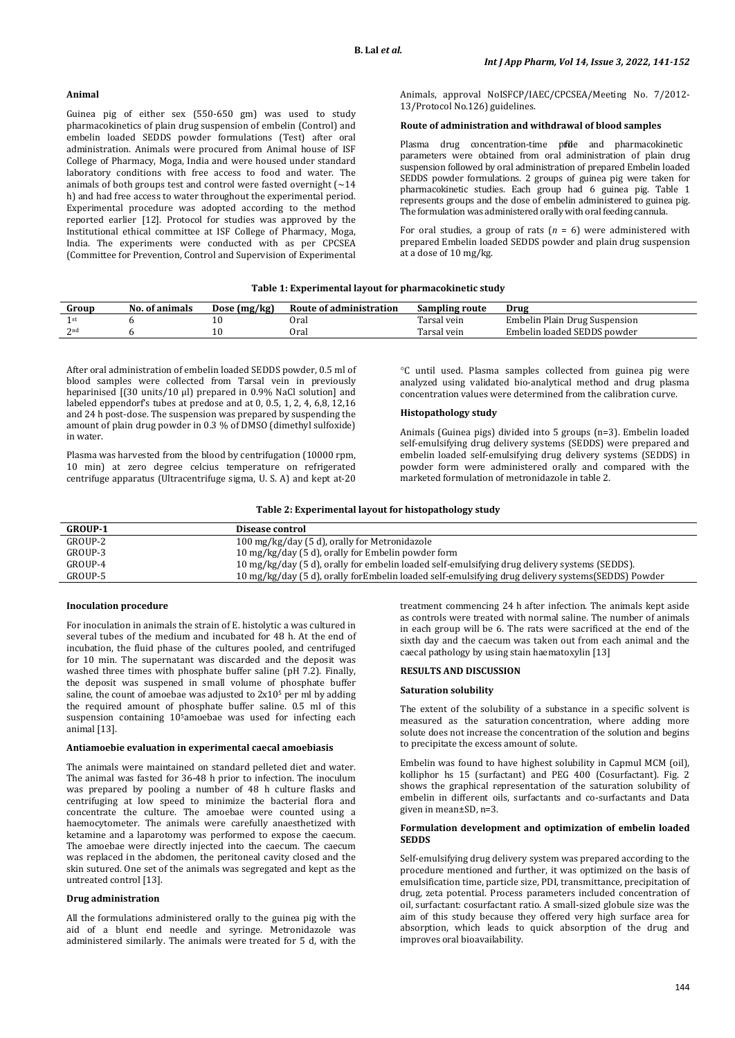### **Animal**

Guinea pig of either sex (550-650 gm) was used to study pharmacokinetics of plain drug suspension of embelin (Control) and embelin loaded SEDDS powder formulations (Test) after oral administration. Animals were procured from Animal house of ISF College of Pharmacy, Moga, India and were housed under standard laboratory conditions with free access to food and water. The animals of both groups test and control were fasted overnight  $\lceil \sim 14 \rceil$ h) and had free access to water throughout the experimental period. Experimental procedure was adopted according to the method reported earlier [12]. Protocol for studies was approved by the Institutional ethical committee at ISF College of Pharmacy, Moga, India. The experiments were conducted with as per CPCSEA (Committee for Prevention, Control and Supervision of Experimental Animals, approval NoISFCP/IAEC/CPCSEA/Meeting No. 7/2012- 13/Protocol No.126) guidelines.

#### **Route of administration and withdrawal of blood samples**

Plasma drug concentration-time pride and pharmacokinetic parameters were obtained from oral administration of plain drug suspension followed by oral administration of prepared Embelin loaded SEDDS powder formulations. 2 groups of guinea pig were taken for pharmacokinetic studies. Each group had 6 guinea pig. Table 1 represents groups and the dose of embelin administered to guinea pig. The formulation was administered orally with oral feeding cannula.

For oral studies, a group of rats  $(n = 6)$  were administered with prepared Embelin loaded SEDDS powder and plain drug suspension at a dose of 10 mg/kg.

#### **Table 1: Experimental layout for pharmacokinetic study**

| Group | No. of animals | Dose (mg/kg) | Route of administration | Sampling route | Drug                          |
|-------|----------------|--------------|-------------------------|----------------|-------------------------------|
|       |                | ιu           | Oral                    | rarsal vein    | Embelin Plain Drug Suspension |
| 2nd   |                |              | Oral                    | Tarsal vein    | Embelin loaded SEDDS powder   |

After oral administration of embelin loaded SEDDS powder, 0.5 ml of blood samples were collected from Tarsal vein in previously heparinised [(30 units/10 µl) prepared in 0.9% NaCl solution] and labeled eppendorf's tubes at predose and at 0, 0.5, 1, 2, 4, 6,8, 12,16 and 24 h post-dose. The suspension was prepared by suspending the amount of plain drug powder in 0.3 % of DMSO (dimethyl sulfoxide) in water.

Plasma was harvested from the blood by centrifugation (10000 rpm, 10 min) at zero degree celcius temperature on refrigerated centrifuge apparatus (Ultracentrifuge sigma, U. S. A) and kept at-20 °C until used. Plasma samples collected from guinea pig were analyzed using validated bio-analytical method and drug plasma concentration values were determined from the calibration curve.

## **Histopathology study**

Animals (Guinea pigs) divided into 5 groups (n=3). Embelin loaded self-emulsifying drug delivery systems (SEDDS) were prepared and embelin loaded self-emulsifying drug delivery systems (SEDDS) in powder form were administered orally and compared with the marketed formulation of metronidazole in table 2.

**Table 2: Experimental layout for histopathology study**

| <b>GROUP-1</b> | Disease control                                                                                     |
|----------------|-----------------------------------------------------------------------------------------------------|
| GROUP-2        | 100 mg/kg/day (5 d), orally for Metronidazole                                                       |
| GROUP-3        | 10 mg/kg/day (5 d), orally for Embelin powder form                                                  |
| GROUP-4        | 10 mg/kg/day (5 d), orally for embelin loaded self-emulsifying drug delivery systems (SEDDS).       |
| GROUP-5        | 10 mg/kg/day (5 d), orally for Embelin loaded self-emulsifying drug delivery systems (SEDDS) Powder |

### **Inoculation procedure**

For inoculation in animals the strain of E. histolytic a was cultured in several tubes of the medium and incubated for 48 h. At the end of incubation, the fluid phase of the cultures pooled, and centrifuged for 10 min. The supernatant was discarded and the deposit was washed three times with phosphate buffer saline (pH 7.2). Finally, the deposit was suspened in small volume of phosphate buffer saline, the count of amoebae was adjusted to 2x10<sup>5</sup> per ml by adding the required amount of phosphate buffer saline. 0.5 ml of this suspension containing 105amoebae was used for infecting each animal [13].

#### **Antiamoebie evaluation in experimental caecal amoebiasis**

The animals were maintained on standard pelleted diet and water. The animal was fasted for 36-48 h prior to infection. The inoculum was prepared by pooling a number of 48 h culture flasks and centrifuging at low speed to minimize the bacterial flora and concentrate the culture. The amoebae were counted using a haemocytometer. The animals were carefully anaesthetized with ketamine and a laparotomy was performed to expose the caecum. The amoebae were directly injected into the caecum. The caecum was replaced in the abdomen, the peritoneal cavity closed and the skin sutured. One set of the animals was segregated and kept as the untreated control [13].

#### **Drug administration**

All the formulations administered orally to the guinea pig with the aid of a blunt end needle and syringe. Metronidazole was administered similarly. The animals were treated for 5 d, with the

treatment commencing 24 h after infection. The animals kept aside as controls were treated with normal saline. The number of animals in each group will be 6. The rats were sacrificed at the end of the sixth day and the caecum was taken out from each animal and the caecal pathology by using stain haematoxylin [13]

## **RESULTS AND DISCUSSION**

#### **Saturation solubility**

The extent of the solubility of a substance in a specific solvent is measured as the saturation [concentration,](https://en.wikipedia.org/wiki/Concentration) where adding more solute does not increase the concentration of the solution and begins to precipitate the excess amount of solute.

Embelin was found to have highest solubility in Capmul MCM (oil), kolliphor hs 15 (surfactant) and PEG 400 (Cosurfactant). Fig. 2 shows the graphical representation of the saturation solubility of embelin in different oils, surfactants and co-surfactants and Data given in mean±SD, n=3.

#### **Formulation development and optimization of embelin loaded SEDDS**

Self-emulsifying drug delivery system was prepared according to the procedure mentioned and further, it was optimized on the basis of emulsification time, particle size, PDI, transmittance, precipitation of drug, zeta potential. Process parameters included concentration of oil, surfactant: cosurfactant ratio. A small-sized globule size was the aim of this study because they offered very high surface area for absorption, which leads to quick absorption of the drug and improves oral bioavailability.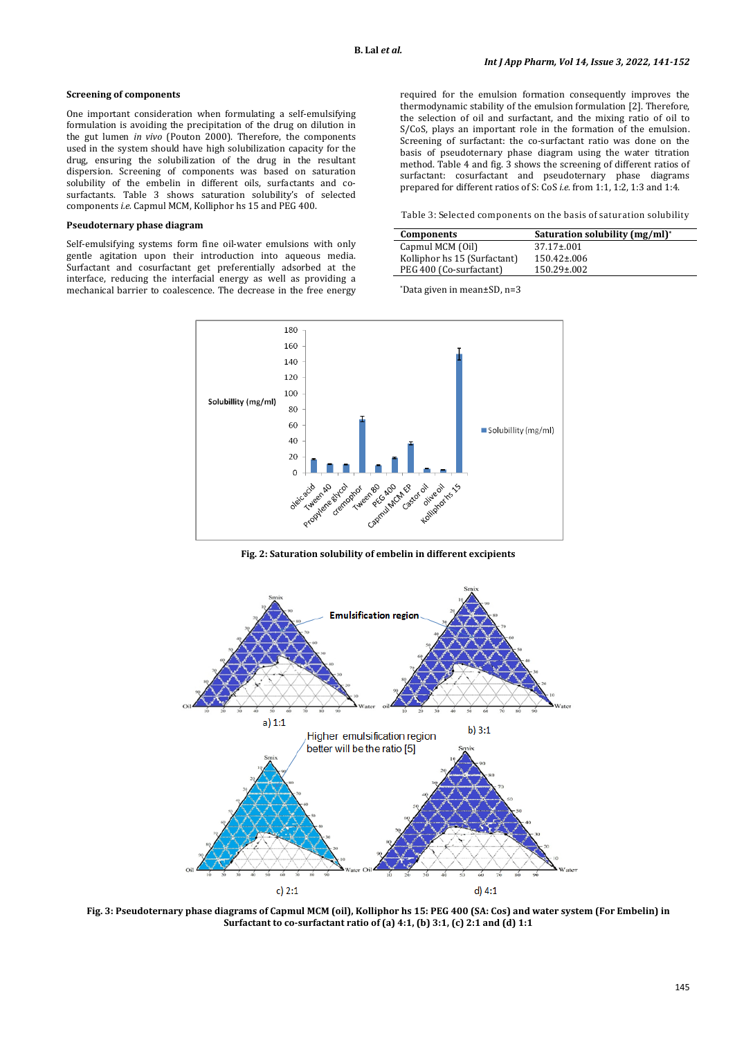#### **Screening of components**

One important consideration when formulating a self-emulsifying formulation is avoiding the precipitation of the drug on dilution in the gut lumen *in vivo* (Pouton 2000). Therefore, the components used in the system should have high solubilization capacity for the drug, ensuring the solubilization of the drug in the resultant dispersion. Screening of components was based on saturation solubility of the embelin in different oils, surfactants and cosurfactants. Table 3 shows saturation solubility's of selected components *i.e.* Capmul MCM, Kolliphor hs 15 and PEG 400.

## **Pseudoternary phase diagram**

Self-emulsifying systems form fine oil-water emulsions with only gentle agitation upon their introduction into aqueous media. Surfactant and cosurfactant get preferentially adsorbed at the interface, reducing the interfacial energy as well as providing a mechanical barrier to coalescence. The decrease in the free energy

required for the emulsion formation consequently improves the thermodynamic stability of the emulsion formulation [2]. Therefore, the selection of oil and surfactant, and the mixing ratio of oil to S/CoS, plays an important role in the formation of the emulsion. Screening of surfactant: the co-surfactant ratio was done on the basis of pseudoternary phase diagram using the water titration method. Table 4 and fig. 3 shows the screening of different ratios of surfactant: cosurfactant and pseudoternary phase diagrams prepared for different ratios of S: CoS *i.e.* from 1:1, 1:2, 1:3 and 1:4.

Table 3: Selected components on the basis of saturation solubility

| Components                   | Saturation solubility (mg/ml)* |
|------------------------------|--------------------------------|
| Capmul MCM (Oil)             | $37.17 \pm 0.01$               |
| Kolliphor hs 15 (Surfactant) | $150.42 \pm 0.06$              |
| PEG 400 (Co-surfactant)      | $150.29 \pm 002$               |

\*Data given in mean±SD, n=3



**Fig. 2: Saturation solubility of embelin in different excipients**



**Fig. 3: Pseudoternary phase diagrams of Capmul MCM (oil), Kolliphor hs 15: PEG 400 (SA: Cos) and water system (For Embelin) in Surfactant to co-surfactant ratio of (a) 4:1, (b) 3:1, (c) 2:1 and (d) 1:1**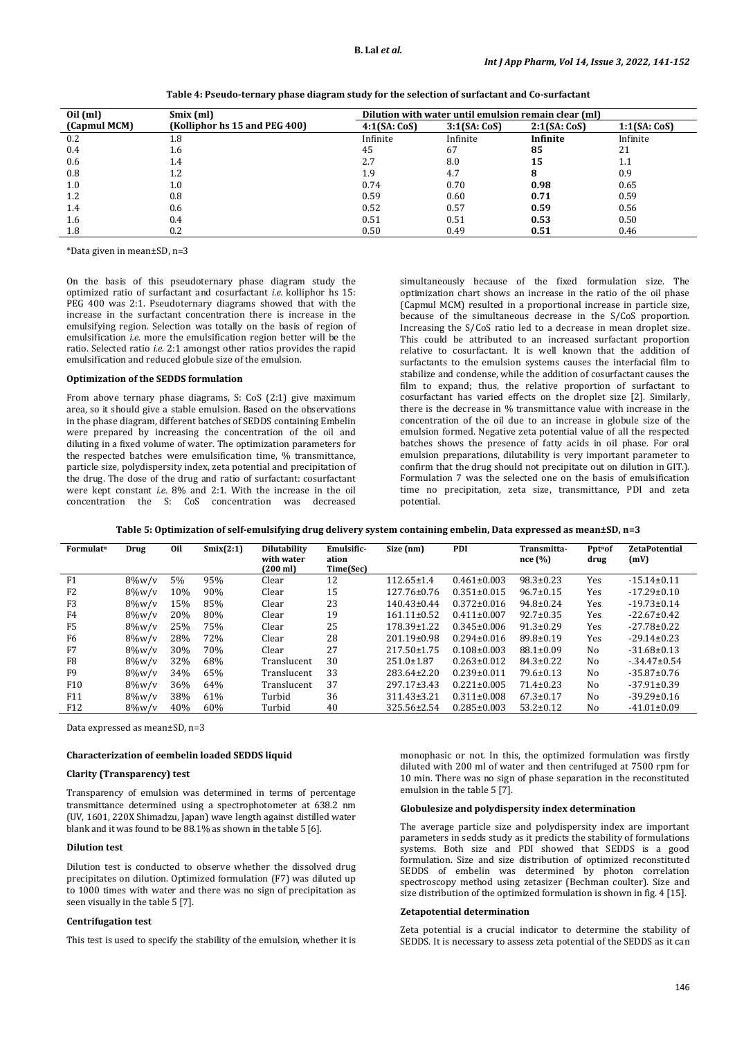| $Oil$ (ml)<br>Smix (ml) |                               | Dilution with water until emulsion remain clear (ml) |             |             |             |  |  |
|-------------------------|-------------------------------|------------------------------------------------------|-------------|-------------|-------------|--|--|
| (Capmul MCM)            | (Kolliphor hs 15 and PEG 400) | 4:1(SA:CoS)                                          | 3:1(SA:CoS) | 2:1(SA:CoS) | 1:1(SA:CoS) |  |  |
| 0.2                     | 1.8                           | Infinite                                             | Infinite    | Infinite    | Infinite    |  |  |
| 0.4                     | 1.6                           | 45                                                   | 67          | 85          | 21          |  |  |
| 0.6                     | 1.4                           | 2.7                                                  | 8.0         | 15          | $1.1\,$     |  |  |
| 0.8                     | 1.2                           | 1.9                                                  | 4.7         | 8           | 0.9         |  |  |
| 1.0                     | $1.0\,$                       | 0.74                                                 | 0.70        | 0.98        | 0.65        |  |  |
| 1.2                     | 0.8                           | 0.59                                                 | 0.60        | 0.71        | 0.59        |  |  |
| 1.4                     | 0.6                           | 0.52                                                 | 0.57        | 0.59        | 0.56        |  |  |
| 1.6                     | 0.4                           | 0.51                                                 | 0.51        | 0.53        | 0.50        |  |  |
| 1.8                     | 0.2                           | 0.50                                                 | 0.49        | 0.51        | 0.46        |  |  |

**Table 4: Pseudo-ternary phase diagram study for the selection of surfactant and Co-surfactant**

\*Data given in mean±SD, n=3

On the basis of this pseudoternary phase diagram study the optimized ratio of surfactant and cosurfactant *i.e.* kolliphor hs 15: PEG 400 was 2:1. Pseudoternary diagrams showed that with the increase in the surfactant concentration there is increase in the emulsifying region. Selection was totally on the basis of region of emulsification *i.e.* more the emulsification region better will be the ratio. Selected ratio *i.e.* 2:1 amongst other ratios provides the rapid emulsification and reduced globule size of the emulsion.

#### **Optimization of the SEDDS formulation**

From above ternary phase diagrams, S: CoS (2:1) give maximum area, so it should give a stable emulsion. Based on the observations in the phase diagram, different batches of SEDDS containing Embelin were prepared by increasing the concentration of the oil and diluting in a fixed volume of water. The optimization parameters for the respected batches were emulsification time, % transmittance, particle size, polydispersity index, zeta potential and precipitation of the drug. The dose of the drug and ratio of surfactant: cosurfactant were kept constant *i.e.* 8% and 2:1. With the increase in the oil concentration the S: CoS concentration was decreased simultaneously because of the fixed formulation size. The optimization chart shows an increase in the ratio of the oil phase (Capmul MCM) resulted in a proportional increase in particle size, because of the simultaneous decrease in the S/CoS proportion. Increasing the S/CoS ratio led to a decrease in mean droplet size. This could be attributed to an increased surfactant proportion relative to cosurfactant. It is well known that the addition of surfactants to the emulsion systems causes the interfacial film to stabilize and condense, while the addition of cosurfactant causes the film to expand; thus, the relative proportion of surfactant to cosurfactant has varied effects on the droplet size [2]. Similarly, there is the decrease in % transmittance value with increase in the concentration of the oil due to an increase in globule size of the emulsion formed. Negative zeta potential value of all the respected batches shows the presence of fatty acids in oil phase. For oral emulsion preparations, dilutability is very important parameter to confirm that the drug should not precipitate out on dilution in GIT.). Formulation 7 was the selected one on the basis of emulsification time no precipitation, zeta size, transmittance, PDI and zeta potential.

|  |  |  | Table 5: Optimization of self-emulsifying drug delivery system containing embelin, Data expressed as mean±SD, n=3 |
|--|--|--|-------------------------------------------------------------------------------------------------------------------|
|  |  |  |                                                                                                                   |

| Formulat <sup>n</sup> | Drug      | 0il | Smix(2:1) | <b>Dilutability</b><br>with water<br>(200 ml) | Emulsific-<br>ation<br>Time(Sec) | Size (nm)         | <b>PDI</b>        | Transmitta-<br>nce(%) | Ppt <sup>n</sup> of<br>drug | <b>ZetaPotential</b><br>(mV) |
|-----------------------|-----------|-----|-----------|-----------------------------------------------|----------------------------------|-------------------|-------------------|-----------------------|-----------------------------|------------------------------|
| F1                    | $8\%$ w/v | 5%  | 95%       | Clear                                         | 12                               | $112.65 \pm 1.4$  | $0.461 \pm 0.003$ | $98.3 \pm 0.23$       | Yes                         | $-15.14\pm0.11$              |
| F <sub>2</sub>        | $8\%$ w/v | 10% | 90%       | Clear                                         | 15                               | $127.76 \pm 0.76$ | $0.351 \pm 0.015$ | $96.7 \pm 0.15$       | Yes                         | $-17.29 \pm 0.10$            |
| F <sub>3</sub>        | $8\%$ w/v | 15% | 85%       | Clear                                         | 23                               | $140.43 \pm 0.44$ | $0.372 \pm 0.016$ | $94.8 \pm 0.24$       | Yes                         | $-19.73 \pm 0.14$            |
| F4                    | $8\%$ w/v | 20% | 80%       | Clear                                         | 19                               | $161.11 \pm 0.52$ | $0.411 \pm 0.007$ | $92.7 \pm 0.35$       | Yes                         | $-22.67 \pm 0.42$            |
| F <sub>5</sub>        | $8\%$ w/v | 25% | 75%       | Clear                                         | 25                               | 178.39±1.22       | $0.345 \pm 0.006$ | $91.3 \pm 0.29$       | Yes                         | $-27.78 \pm 0.22$            |
| F6                    | $8\%$ w/v | 28% | 72%       | Clear                                         | 28                               | 201.19±0.98       | $0.294 \pm 0.016$ | $89.8 \pm 0.19$       | Yes                         | $-29.14 \pm 0.23$            |
| F7                    | $8\%$ w/v | 30% | 70%       | Clear                                         | 27                               | $217.50 \pm 1.75$ | $0.108 \pm 0.003$ | $88.1 \pm 0.09$       | No                          | $-31.68 \pm 0.13$            |
| F <sub>8</sub>        | $8\%$ w/v | 32% | 68%       | Translucent                                   | 30                               | $251.0 \pm 1.87$  | $0.263 \pm 0.012$ | $84.3 \pm 0.22$       | No                          | $-34.47 \pm 0.54$            |
| F <sub>9</sub>        | $8\%$ w/v | 34% | 65%       | Translucent                                   | 33                               | 283.64±2.20       | $0.239 \pm 0.011$ | $79.6 \pm 0.13$       | No                          | $-35.87 \pm 0.76$            |
| F <sub>10</sub>       | $8\%$ w/v | 36% | 64%       | Translucent                                   | 37                               | 297.17±3.43       | $0.221 \pm 0.005$ | $71.4 \pm 0.23$       | No                          | $-37.91 \pm 0.39$            |
| F11                   | $8\%$ w/v | 38% | 61%       | Turbid                                        | 36                               | 311.43±3.21       | $0.311 \pm 0.008$ | $67.3 \pm 0.17$       | No                          | $-39.29 \pm 0.16$            |
| F <sub>12</sub>       | $8\%$ w/v | 40% | 60%       | Turbid                                        | 40                               | 325.56±2.54       | $0.285 \pm 0.003$ | $53.2 \pm 0.12$       | No                          | $-41.01 \pm 0.09$            |

Data expressed as mean±SD, n=3

#### **Characterization of eembelin loaded SEDDS liquid**

#### **Clarity (Transparency) test**

Transparency of emulsion was determined in terms of percentage transmittance determined using a spectrophotometer at 638.2 nm (UV, 1601, 220X Shimadzu, Japan) wave length against distilled water blank and it was found to be 88.1% as shown in the table 5 [6].

#### **Dilution test**

Dilution test is conducted to observe whether the dissolved drug precipitates on dilution. Optimized formulation (F7) was diluted up to 1000 times with water and there was no sign of precipitation as seen visually in the table 5 [7].

#### **Centrifugation test**

This test is used to specify the stability of the emulsion, whether it is

monophasic or not. In this, the optimized formulation was firstly diluted with 200 ml of water and then centrifuged at 7500 rpm for 10 min. There was no sign of phase separation in the reconstituted emulsion in the table 5 [7].

#### **Globulesize and polydispersity index determination**

The average particle size and polydispersity index are important parameters in sedds study as it predicts the stability of formulations systems. Both size and PDI showed that SEDDS is a good formulation. Size and size distribution of optimized reconstituted SEDDS of embelin was determined by photon correlation spectroscopy method using zetasizer (Bechman coulter). Size and size distribution of the optimized formulation is shown in fig. 4 [15].

#### **Zetapotential determination**

Zeta potential is a crucial indicator to determine the stability of SEDDS. It is necessary to assess zeta potential of the SEDDS as it can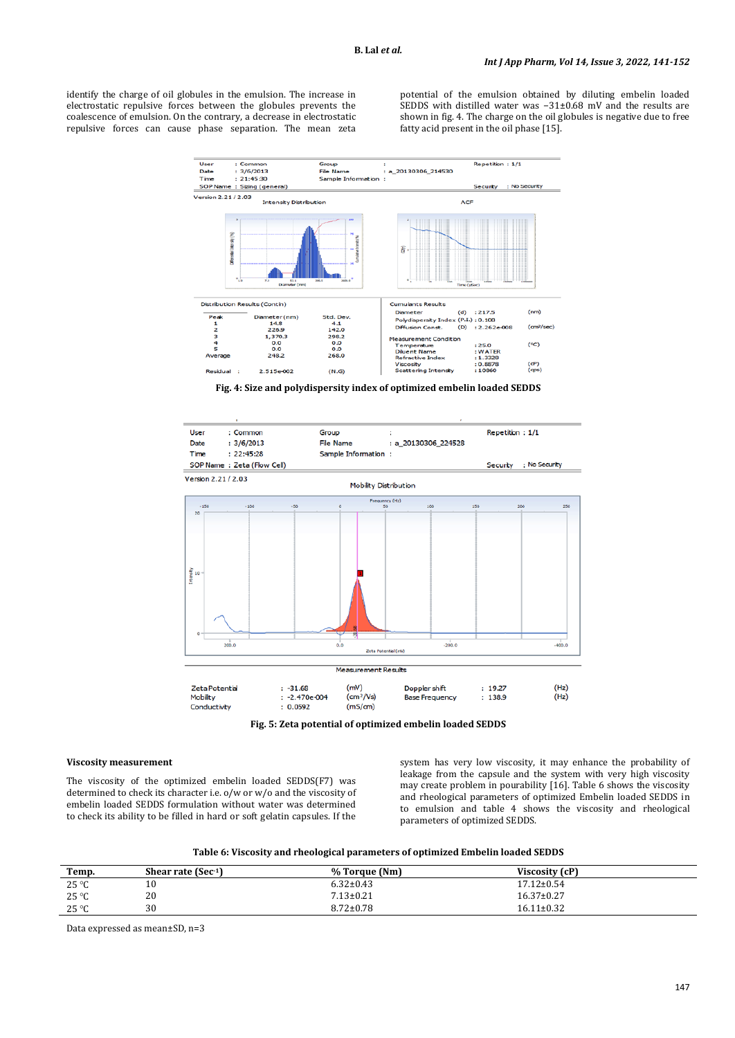identify the charge of oil globules in the emulsion. The increase in electrostatic repulsive forces between the globules prevents the coalescence of emulsion. On the contrary, a decrease in electrostatic repulsive forces can cause phase separation. The mean zeta potential of the emulsion obtained by diluting embelin loaded SEDDS with distilled water was −31±0.68 mV and the results are shown in fig. 4. The charge on the oil globules is negative due to free fatty acid present in the oil phase [15].



**Fig. 4: Size and polydispersity index of optimized embelin loaded SEDDS**



**Fig. 5: Zeta potential of optimized embelin loaded SEDDS**

#### **Viscosity measurement**

The viscosity of the optimized embelin loaded SEDDS(F7) was determined to check its character i.e. o/w or w/o and the viscosity of embelin loaded SEDDS formulation without water was determined to check its ability to be filled in hard or soft gelatin capsules. If the

system has very low viscosity, it may enhance the probability of leakage from the capsule and the system with very high viscosity may create problem in pourability [16]. Table 6 shows the viscosity and rheological parameters of optimized Embelin loaded SEDDS in to emulsion and table 4 shows the viscosity and rheological parameters of optimized SEDDS.

| Temp.          | Shear rate $(Sec-1)$ | % Torque (Nm)   | Viscosity (cP)   |
|----------------|----------------------|-----------------|------------------|
| $25^{\circ}$ C | 10                   | $6.32 \pm 0.43$ | $17.12 \pm 0.54$ |
| $25^{\circ}$ C | 20                   | $7.13 \pm 0.21$ | $16.37 \pm 0.27$ |
| $25^{\circ}$ C | 30                   | $8.72 \pm 0.78$ | $16.11 \pm 0.32$ |

Data expressed as mean±SD, n=3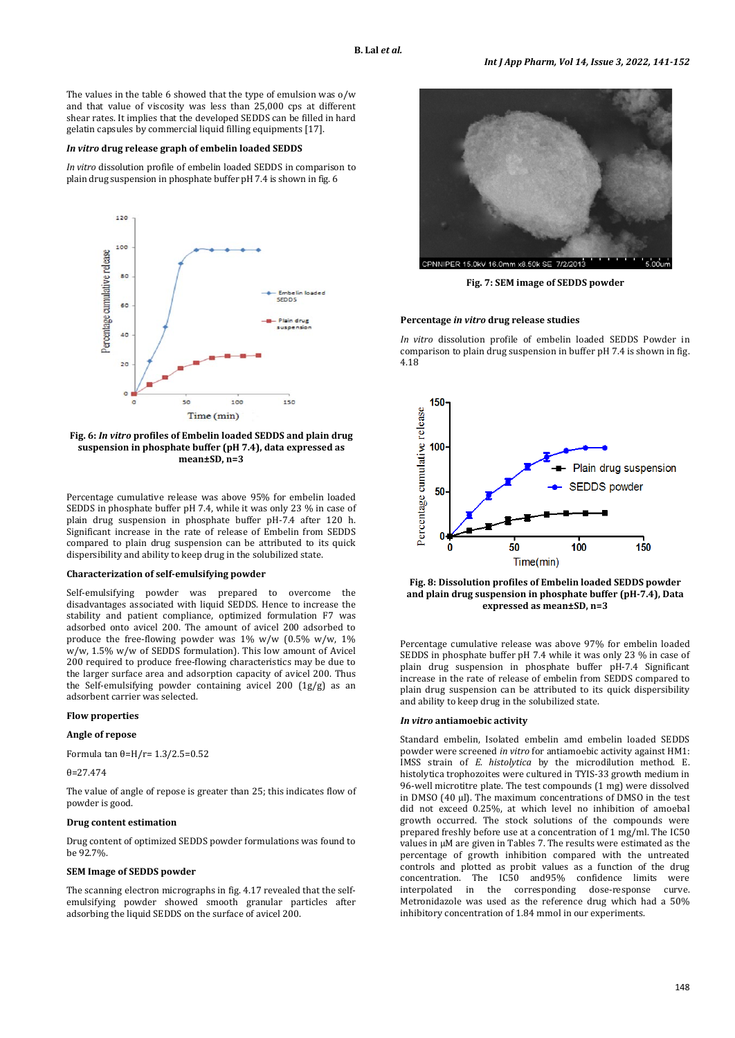The values in the table 6 showed that the type of emulsion was o/w and that value of viscosity was less than 25,000 cps at different shear rates. It implies that the developed SEDDS can be filled in hard gelatin capsules by commercial liquid filling equipments [17].

#### *In vitro* **drug release graph of embelin loaded SEDDS**

*In vitro* dissolution profile of embelin loaded SEDDS in comparison to plain drug suspension in phosphate buffer pH 7.4 is shown in fig. 6



**Fig. 6:** *In vitro* **profiles of Embelin loaded SEDDS and plain drug suspension in phosphate buffer (pH 7.4), data expressed as mean±SD, n=3**

Percentage cumulative release was above 95% for embelin loaded SEDDS in phosphate buffer pH 7.4, while it was only 23 % in case of plain drug suspension in phosphate buffer pH-7.4 after 120 h. Significant increase in the rate of release of Embelin from SEDDS compared to plain drug suspension can be attributed to its quick dispersibility and ability to keep drug in the solubilized state.

#### **Characterization of self-emulsifying powder**

Self-emulsifying powder was prepared to overcome the disadvantages associated with liquid SEDDS. Hence to increase the stability and patient compliance, optimized formulation F7 was adsorbed onto avicel 200. The amount of avicel 200 adsorbed to produce the free-flowing powder was 1% w/w (0.5% w/w, 1% w/w, 1.5% w/w of SEDDS formulation). This low amount of Avicel 200 required to produce free-flowing characteristics may be due to the larger surface area and adsorption capacity of avicel 200. Thus the Self-emulsifying powder containing avicel 200 (1g/g) as an adsorbent carrier was selected.

### **Flow properties**

### **Angle of repose**

Formula tan θ=H/r= 1.3/2.5=0.52

θ=27.474

The value of angle of repose is greater than 25; this indicates flow of powder is good.

#### **Drug content estimation**

Drug content of optimized SEDDS powder formulations was found to be 92.7%.

### **SEM Image of SEDDS powder**

The scanning electron micrographs in fig. 4.17 revealed that the selfemulsifying powder showed smooth granular particles after adsorbing the liquid SEDDS on the surface of avicel 200.



**Fig. 7: SEM image of SEDDS powder**

#### **Percentage** *in vitro* **drug release studies**

*In vitro* dissolution profile of embelin loaded SEDDS Powder in comparison to plain drug suspension in buffer pH 7.4 is shown in fig. 4.18



**Fig. 8: Dissolution profiles of Embelin loaded SEDDS powder and plain drug suspension in phosphate buffer (pH-7.4), Data expressed as mean±SD, n=3**

Percentage cumulative release was above 97% for embelin loaded SEDDS in phosphate buffer pH 7.4 while it was only 23 % in case of plain drug suspension in phosphate buffer pH-7.4 Significant increase in the rate of release of embelin from SEDDS compared to plain drug suspension can be attributed to its quick dispersibility and ability to keep drug in the solubilized state.

## *In vitro* **antiamoebic activity**

Standard embelin, Isolated embelin amd embelin loaded SEDDS powder were screened *in vitro* for antiamoebic activity against HM1: IMSS strain of *E. histolytica* by the microdilution method. E. histolytica trophozoites were cultured in TYIS-33 growth medium in 96-well microtitre plate. The test compounds (1 mg) were dissolved in DMSO (40 µl). The maximum concentrations of DMSO in the test did not exceed 0.25%, at which level no inhibition of amoebal growth occurred. The stock solutions of the compounds were prepared freshly before use at a concentration of 1 mg/ml. The IC50 values in µM are given in Tables 7. The results were estimated as the percentage of growth inhibition compared with the untreated controls and plotted as probit values as a function of the drug concentration. The IC50 and95% confidence limits were interpolated in the corresponding dose-response curve. Metronidazole was used as the reference drug which had a 50% inhibitory concentration of 1.84 mmol in our experiments.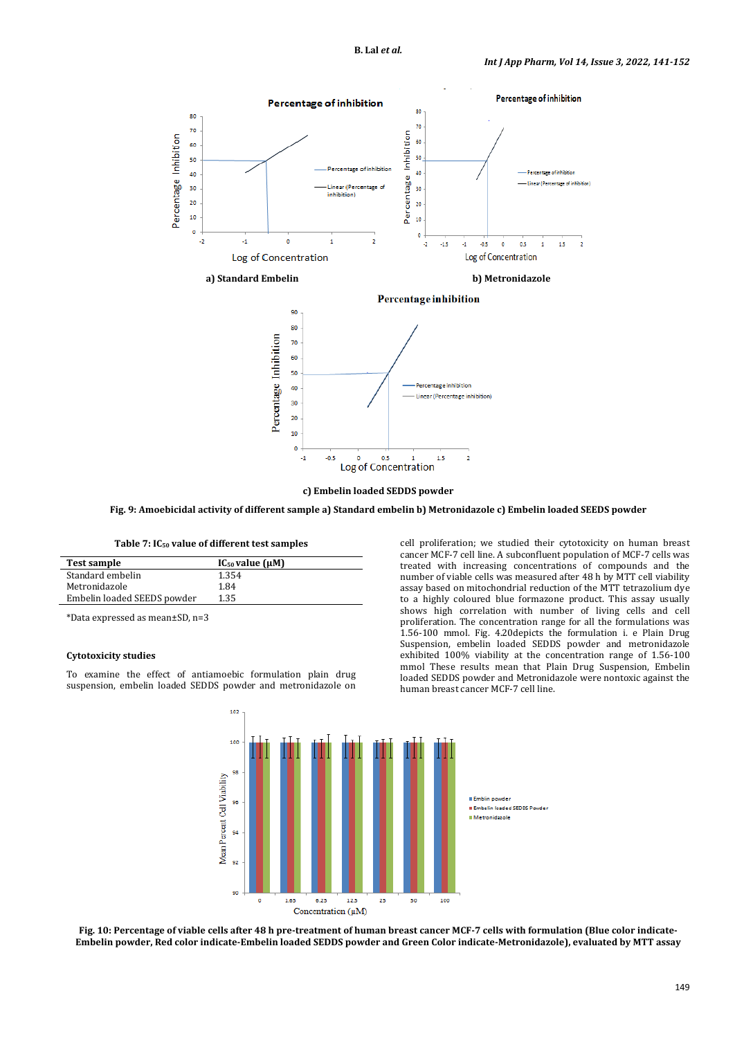

**c) Embelin loaded SEDDS powder**

**Fig. 9: Amoebicidal activity of different sample a) Standard embelin b) Metronidazole c) Embelin loaded SEEDS powder**

#### **Table 7: IC50 value of different test samples**

| <b>Test sample</b>          | $IC_{50}$ value $(\mu M)$ |
|-----------------------------|---------------------------|
| Standard embelin            | 1.354                     |
| Metronidazole               | 1.84                      |
| Embelin loaded SEEDS powder | 1.35                      |

\*Data expressed as mean±SD, n=3

#### **Cytotoxicity studies**

To examine the effect of antiamoebic formulation plain drug suspension, embelin loaded SEDDS powder and metronidazole on cell proliferation; we studied their cytotoxicity on human breast cancer MCF-7 cell line. A subconfluent population of MCF-7 cells was treated with increasing concentrations of compounds and the number of viable cells was measured after 48 h by MTT cell viability assay based on mitochondrial reduction of the MTT tetrazolium dye to a highly coloured blue formazone product. This assay usually shows high correlation with number of living cells and cell proliferation. The concentration range for all the formulations was 1.56-100 mmol. Fig. 4.20depicts the formulation i. e Plain Drug Suspension, embelin loaded SEDDS powder and metronidazole exhibited 100% viability at the concentration range of 1.56-100 mmol These results mean that Plain Drug Suspension, Embelin loaded SEDDS powder and Metronidazole were nontoxic against the human breast cancer MCF-7 cell line.



**Fig. 10: Percentage of viable cells after 48 h pre-treatment of human breast cancer MCF-7 cells with formulation (Blue color indicate-Embelin powder, Red color indicate-Embelin loaded SEDDS powder and Green Color indicate-Metronidazole), evaluated by MTT assay**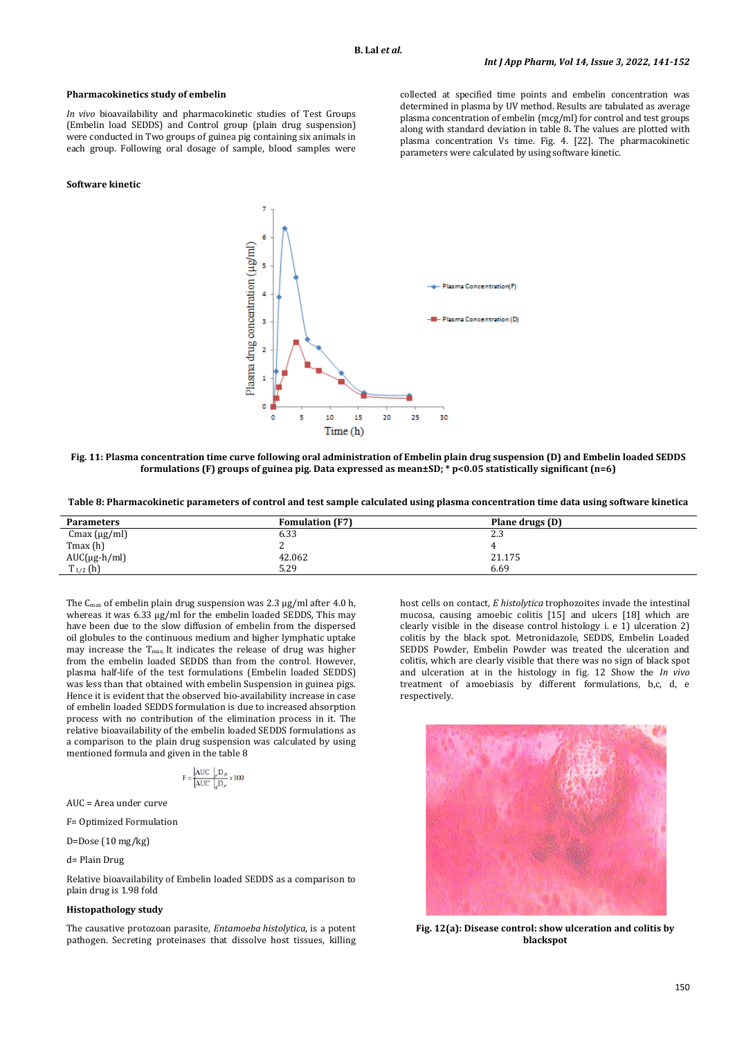#### **Pharmacokinetics study of embelin**

*In vivo* bioavailability and pharmacokinetic studies of Test Groups (Embelin load SEDDS) and Control group (plain drug suspension) were conducted in Two groups of guinea pig containing six animals in each group. Following oral dosage of sample, blood samples were

### **Software kinetic**

collected at specified time points and embelin concentration was determined in plasma by UV method. Results are tabulated as average plasma concentration of embelin (mcg/ml) for control and test groups along with standard deviation in table 8**.** The values are plotted with plasma concentration Vs time. Fig. 4. [22]. The pharmacokinetic parameters were calculated by using software kinetic.



**Fig. 11: Plasma concentration time curve following oral administration of Embelin plain drug suspension (D) and Embelin loaded SEDDS formulations (F) groups of guinea pig. Data expressed as mean±SD; \* p<0.05 statistically significant (n=6)**

**Table 8: Pharmacokinetic parameters of control and test sample calculated using plasma concentration time data using software kinetica**

| <b>Parameters</b>        | <b>Fomulation (F7)</b> | Plane drugs (D) |
|--------------------------|------------------------|-----------------|
| $Cmax(\mu g/ml)$         | 6.33                   | วว<br>ن ، ے     |
| Tmax(h)                  |                        |                 |
| $AUC(\mu g\text{-}h/ml)$ | 42.062                 | 21.175          |
| $T_{1/2}$ (h)            | 5.29                   | 6.69            |

The  $C_{\text{max}}$  of embelin plain drug suspension was 2.3  $\mu$ g/ml after 4.0 h, whereas it was 6.33 µg/ml for the embelin loaded SEDDS, This may have been due to the slow diffusion of embelin from the dispersed oil globules to the continuous medium and higher lymphatic uptake may increase the Tmax. It indicates the release of drug was higher from the embelin loaded SEDDS than from the control. However, plasma half-life of the test formulations (Embelin loaded SEDDS) was less than that obtained with embelin Suspension in guinea pigs. Hence it is evident that the observed bio-availability increase in case of embelin loaded SEDDS formulation is due to increased absorption process with no contribution of the elimination process in it. The relative bioavailability of the embelin loaded SEDDS formulations as a comparison to the plain drug suspension was calculated by using mentioned formula and given in the table 8

$$
F = \frac{AUC \int_p D_D}{AUC \int_q D_F} \times 100
$$

AUC = Area under curve

F= Optimized Formulation

D=Dose (10 mg/kg)

d= Plain Drug

Relative bioavailability of Embelin loaded SEDDS as a comparison to plain drug is 1.98 fold

### **Histopathology study**

The causative protozoan parasite, *Entamoeba histolytica*, is a potent pathogen. Secreting proteinases that dissolve host tissues, killing

host cells on contact, *E histolytica* trophozoites invade the intestinal mucosa, causing amoebic colitis [15] and ulcers [18] which are clearly visible in the disease control histology i. e 1) ulceration 2) colitis by the black spot. Metronidazole, SEDDS, Embelin Loaded SEDDS Powder, Embelin Powder was treated the ulceration and colitis, which are clearly visible that there was no sign of black spot and ulceration at in the histology in fig. 12 Show the *In vivo* treatment of amoebiasis by different formulations, b,c, d, e respectively.



**Fig. 12(a): Disease control: show ulceration and colitis by blackspot**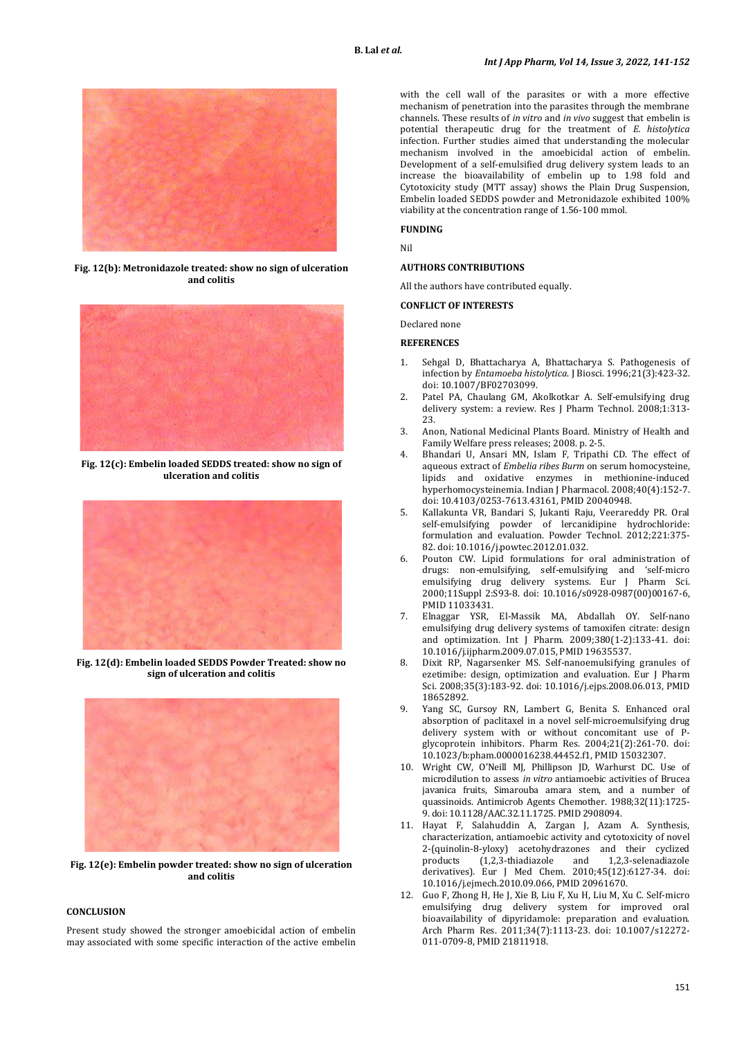

**Fig. 12(b): Metronidazole treated: show no sign of ulceration and colitis**



**Fig. 12(c): Embelin loaded SEDDS treated: show no sign of ulceration and colitis**



**Fig. 12(d): Embelin loaded SEDDS Powder Treated: show no sign of ulceration and colitis**



**Fig. 12(e): Embelin powder treated: show no sign of ulceration and colitis**

## **CONCLUSION**

Present study showed the stronger amoebicidal action of embelin may associated with some specific interaction of the active embelin with the cell wall of the parasites or with a more effective mechanism of penetration into the parasites through the membrane channels. These results of *in vitro* and *in vivo* suggest that embelin is potential therapeutic drug for the treatment of *E. histolytica* infection. Further studies aimed that understanding the molecular mechanism involved in the amoebicidal action of embelin. Development of a self-emulsified drug delivery system leads to an increase the bioavailability of embelin up to 1.98 fold and Cytotoxicity study (MTT assay) shows the Plain Drug Suspension, Embelin loaded SEDDS powder and Metronidazole exhibited 100% viability at the concentration range of 1.56-100 mmol.

**FUNDING**

Nil

### **AUTHORS CONTRIBUTIONS**

All the authors have contributed equally.

### **CONFLICT OF INTERESTS**

Declared none

### **REFERENCES**

- 1. Sehgal D, Bhattacharya A, Bhattacharya S. Pathogenesis of infection by *Entamoeba histolytica*. J Biosci. 1996;21(3):423-32. doi[: 10.1007/BF02703099.](https://doi.org/10.1007/BF02703099)
- 2. Patel PA, Chaulang GM, Akolkotkar A. Self-emulsifying drug delivery system: a review. Res J Pharm Technol. 2008;1:313- 23.
- 3. Anon, National Medicinal Plants Board. Ministry of Health and Family Welfare press releases; 2008. p. 2-5.
- 4. Bhandari U, Ansari MN, Islam F, Tripathi CD. The effect of aqueous extract of *Embelia ribes Burm* on serum homocysteine, lipids and oxidative enzymes in methionine-induced hyperhomocysteinemia. Indian J Pharmacol. 2008;40(4):152-7. doi[: 10.4103/0253-7613.43161,](https://doi.org/10.4103/0253-7613.43161) PMI[D 20040948.](https://www.ncbi.nlm.nih.gov/pubmed/20040948)
- 5. Kallakunta VR, Bandari S, Jukanti Raju, Veerareddy PR. Oral self-emulsifying powder of lercanidipine hydrochloride: formulation and evaluation. Powder Technol. 2012;221:375- 82. doi[: 10.1016/j.powtec.2012.01.032.](https://doi.org/10.1016/j.powtec.2012.01.032)
- 6. Pouton CW. Lipid formulations for oral administration of drugs: non-emulsifying, self-emulsifying and 'self-micro emulsifying drug delivery systems. Eur J Pharm Sci. 2000;11Suppl 2:S93-8. doi: [10.1016/s0928-0987\(00\)00167-6,](https://doi.org/10.1016/s0928-0987(00)00167-6)  PMI[D 11033431.](https://www.ncbi.nlm.nih.gov/pubmed/11033431)
- 7. Elnaggar YSR, El-Massik MA, Abdallah OY. Self-nano emulsifying drug delivery systems of tamoxifen citrate: design and optimization. Int J Pharm. 2009;380(1-2):133-41. doi: [10.1016/j.ijpharm.2009.07.015,](https://doi.org/10.1016/j.ijpharm.2009.07.015) PMI[D 19635537.](https://www.ncbi.nlm.nih.gov/pubmed/19635537)
- 8. Dixit RP, Nagarsenker MS. Self-nanoemulsifying granules of ezetimibe: design, optimization and evaluation. Eur J Pharm Sci. 2008;35(3):183-92. doi: [10.1016/j.ejps.2008.06.013,](https://doi.org/10.1016/j.ejps.2008.06.013) PMID [18652892.](https://www.ncbi.nlm.nih.gov/pubmed/18652892)
- Yang SC, Gursoy RN, Lambert G, Benita S. Enhanced oral absorption of paclitaxel in a novel self-microemulsifying drug delivery system with or without concomitant use of Pglycoprotein inhibitors. Pharm Res. 2004;21(2):261-70. doi: [10.1023/b:pham.0000016238.44452.f1,](https://doi.org/10.1023/b:pham.0000016238.44452.f1) PMI[D 15032307.](https://www.ncbi.nlm.nih.gov/pubmed/15032307)
- 10. Wright CW, O'Neill MJ, Phillipson JD, Warhurst DC. Use of microdilution to assess *in vitro* antiamoebic activities of Brucea javanica fruits, Simarouba amara stem, and a number of quassinoids. Antimicrob Agents Chemother. 1988;32(11):1725- 9. doi[: 10.1128/AAC.32.11.1725.](https://doi.org/10.1128/AAC.32.11.1725) PMI[D 2908094.](https://www.ncbi.nlm.nih.gov/pubmed/2908094)
- 11. Hayat F, Salahuddin A, Zargan J, Azam A. Synthesis, characterization, antiamoebic activity and cytotoxicity of novel 2-(quinolin-8-yloxy) acetohydrazones and their cyclized  $(1,2,3$ -thiadiazole derivatives). Eur J Med Chem. 2010;45(12):6127-34. doi: [10.1016/j.ejmech.2010.09.066,](https://doi.org/10.1016/j.ejmech.2010.09.066) PMI[D 20961670.](https://www.ncbi.nlm.nih.gov/pubmed/20961670)
- 12. Guo F, Zhong H, He J, Xie B, Liu F, Xu H, Liu M, Xu C. Self-micro emulsifying drug delivery system for improved oral bioavailability of dipyridamole: preparation and evaluation. Arch Pharm Res. 2011;34(7):1113-23. doi: [10.1007/s12272-](https://doi.org/10.1007/s12272-011-0709-8) [011-0709-8,](https://doi.org/10.1007/s12272-011-0709-8) PMI[D 21811918.](https://www.ncbi.nlm.nih.gov/pubmed/21811918)